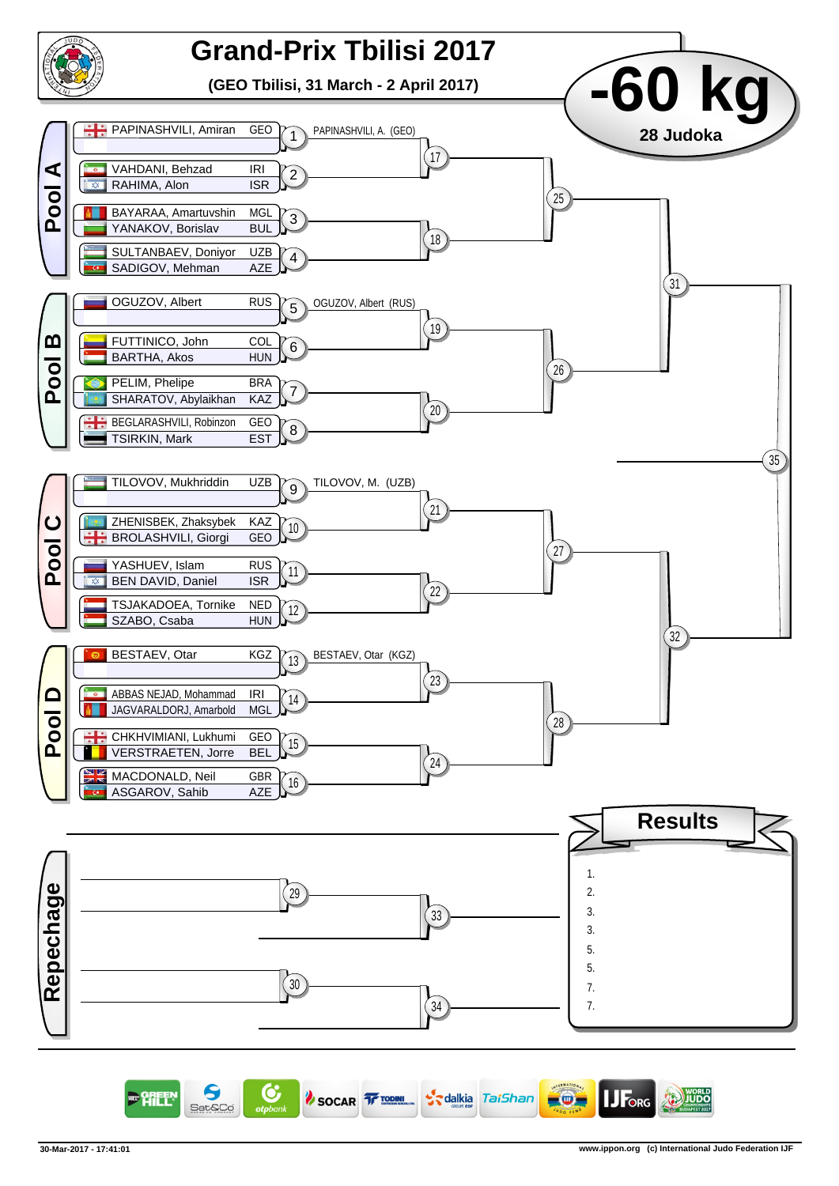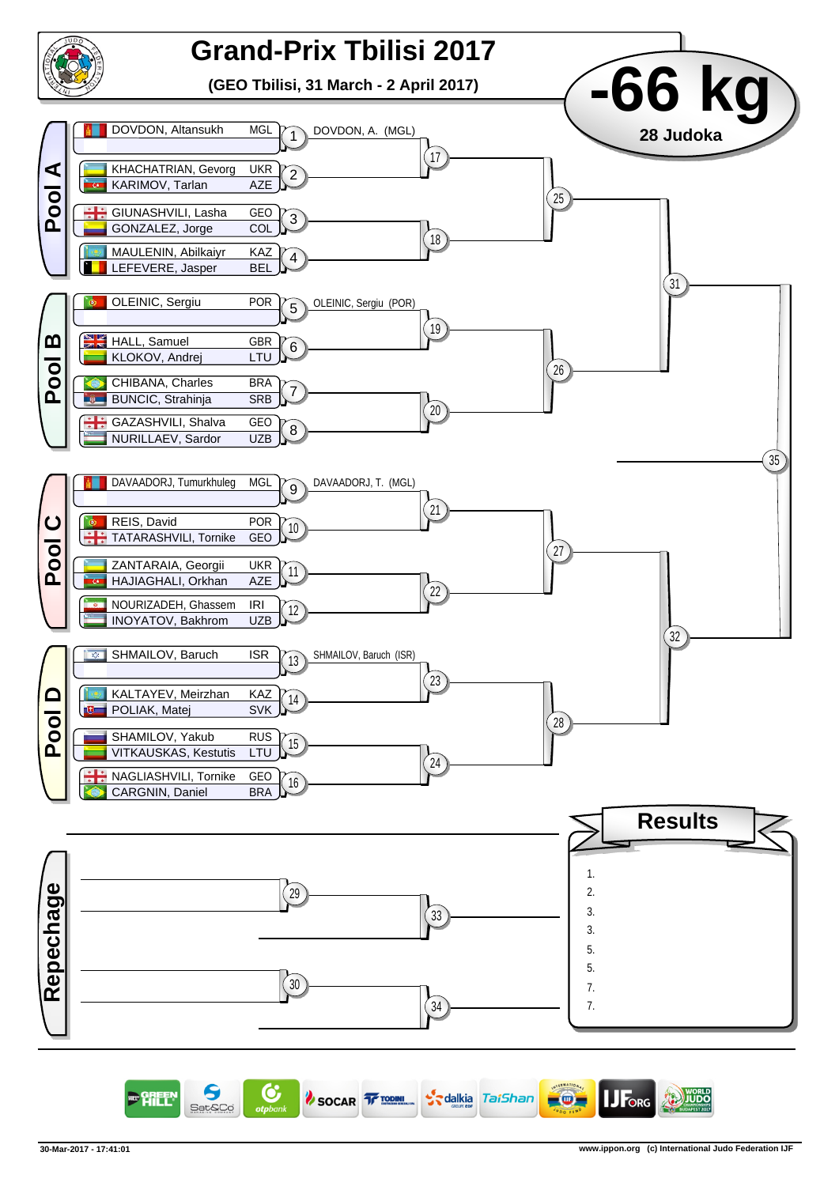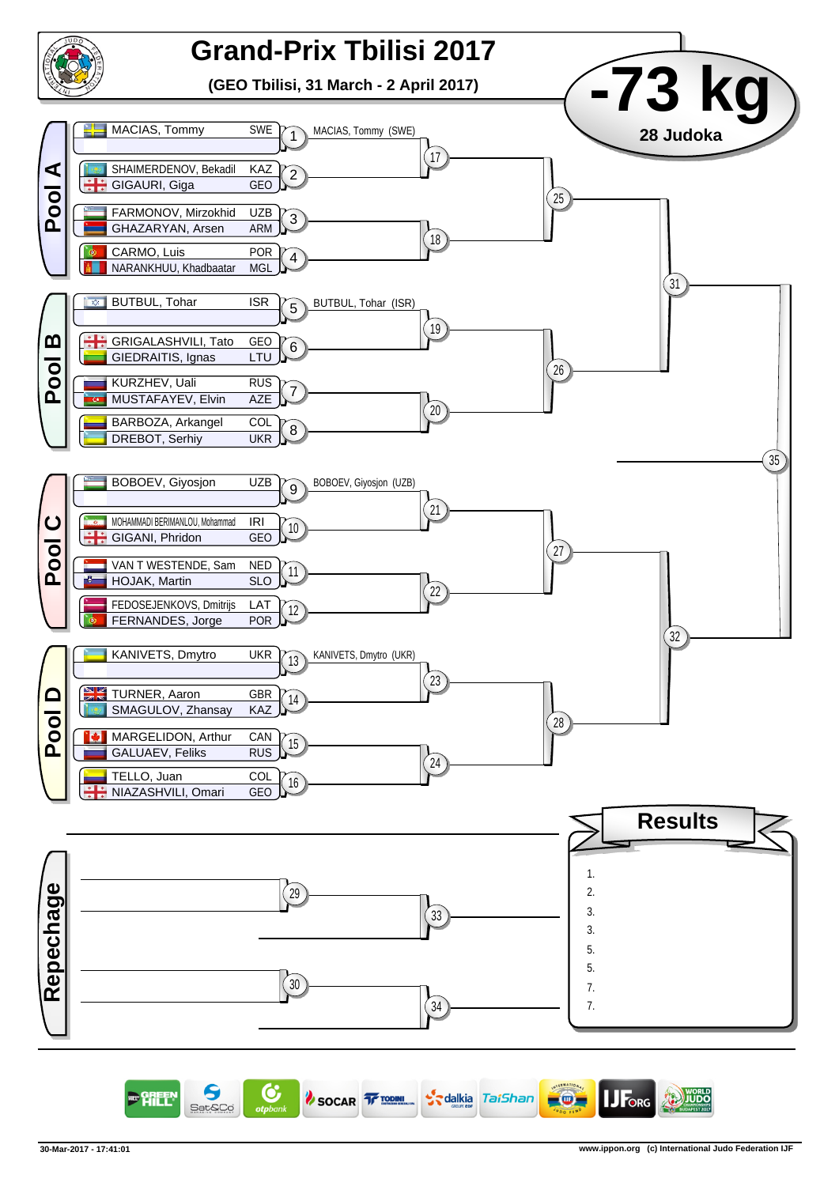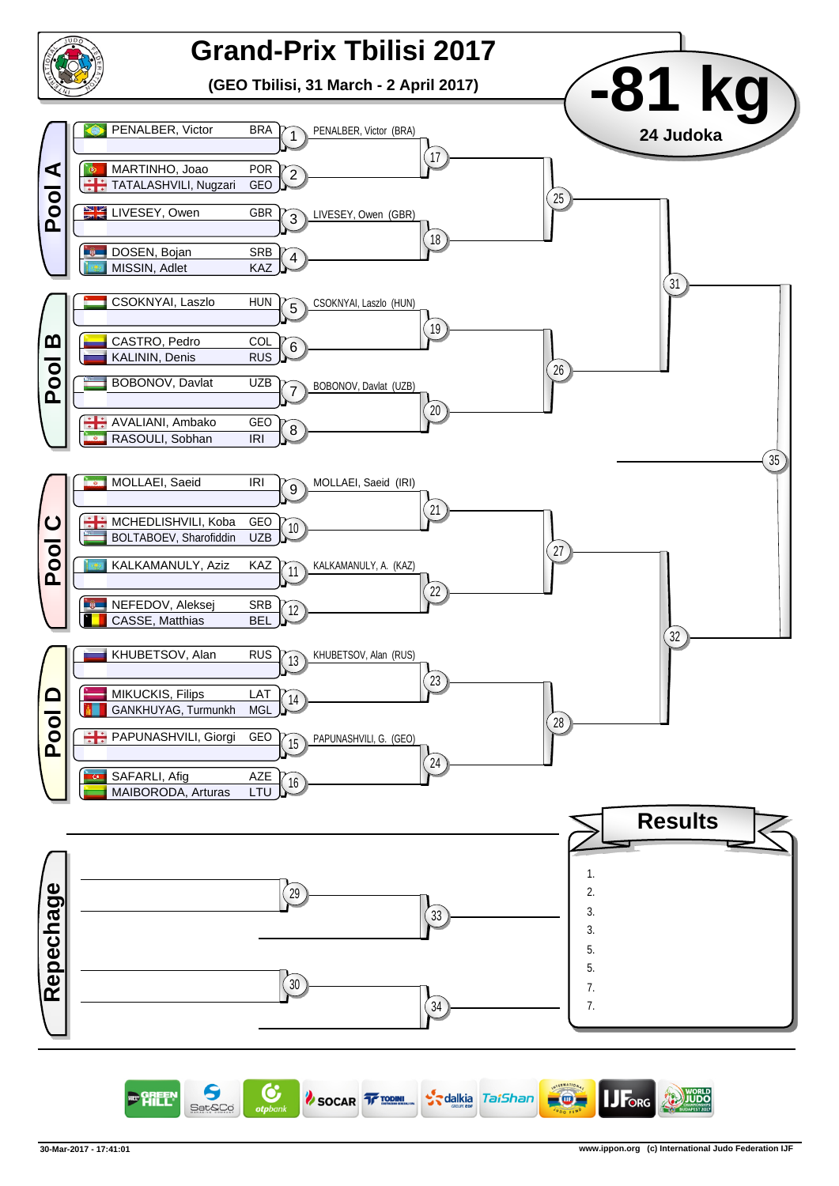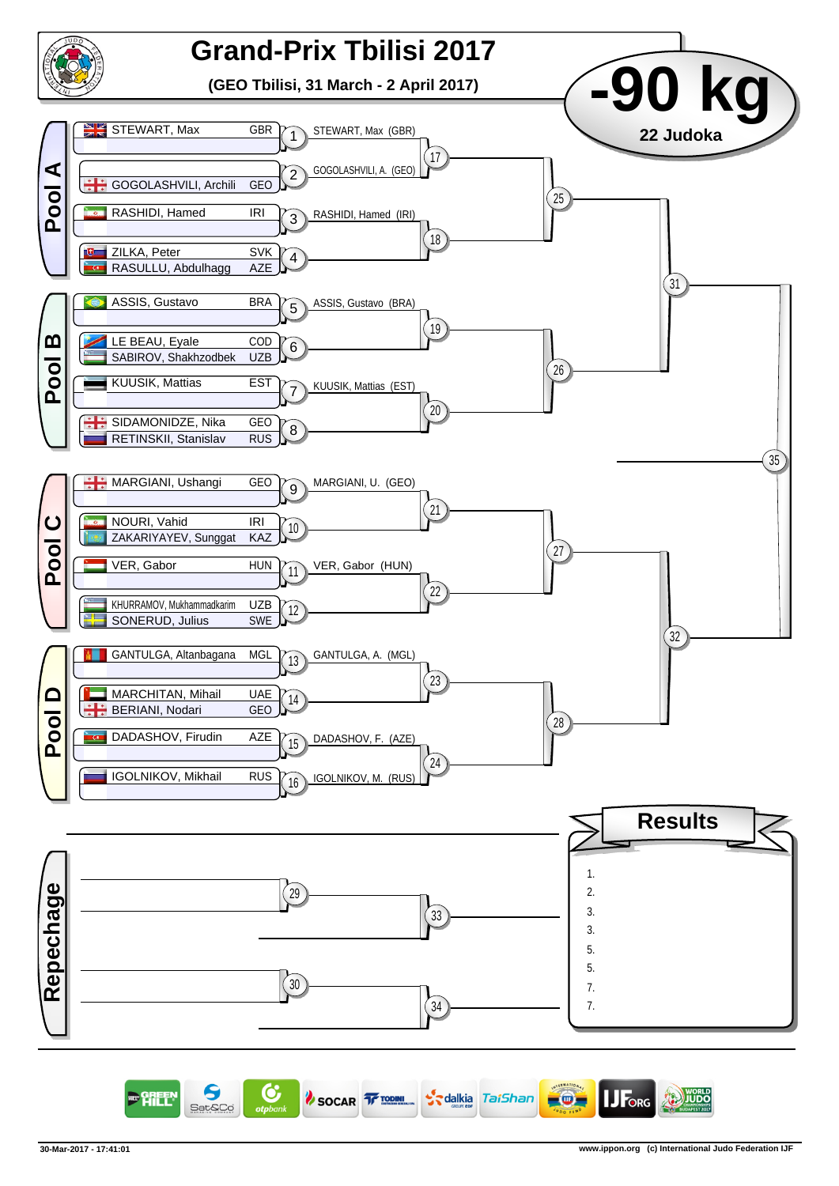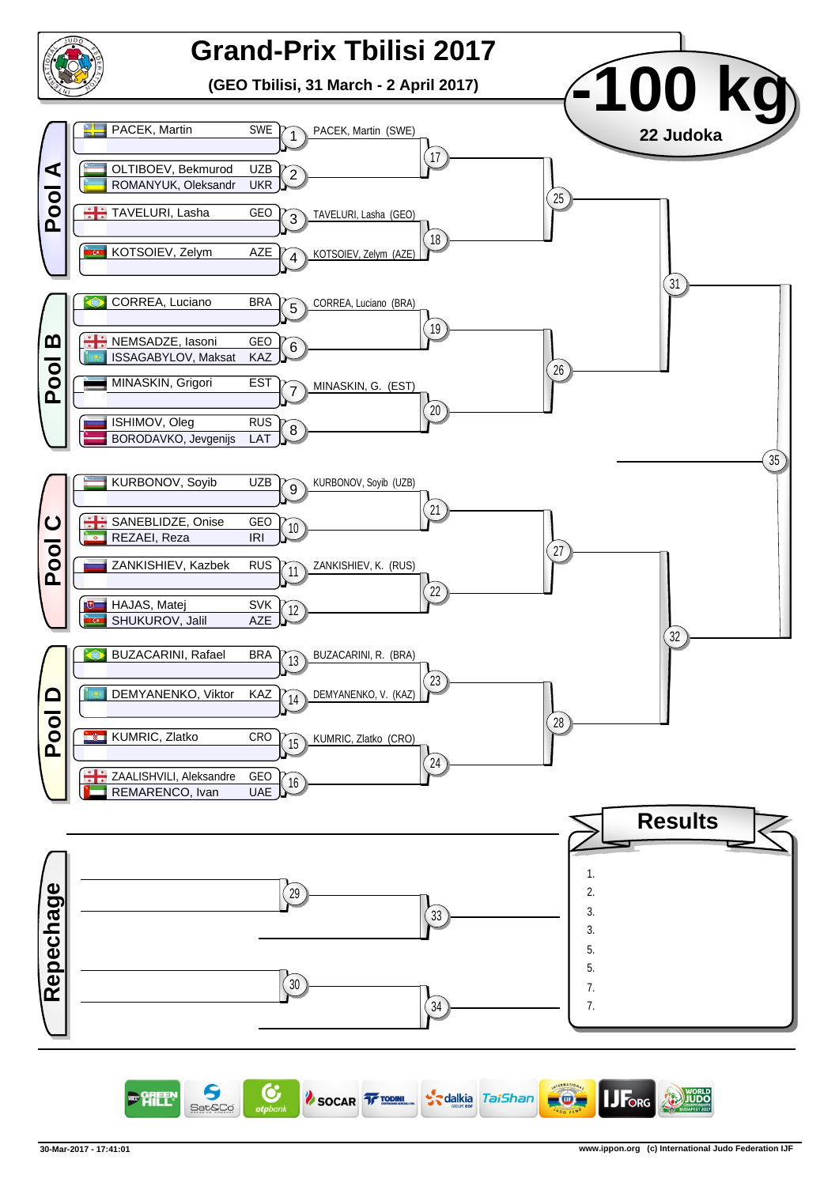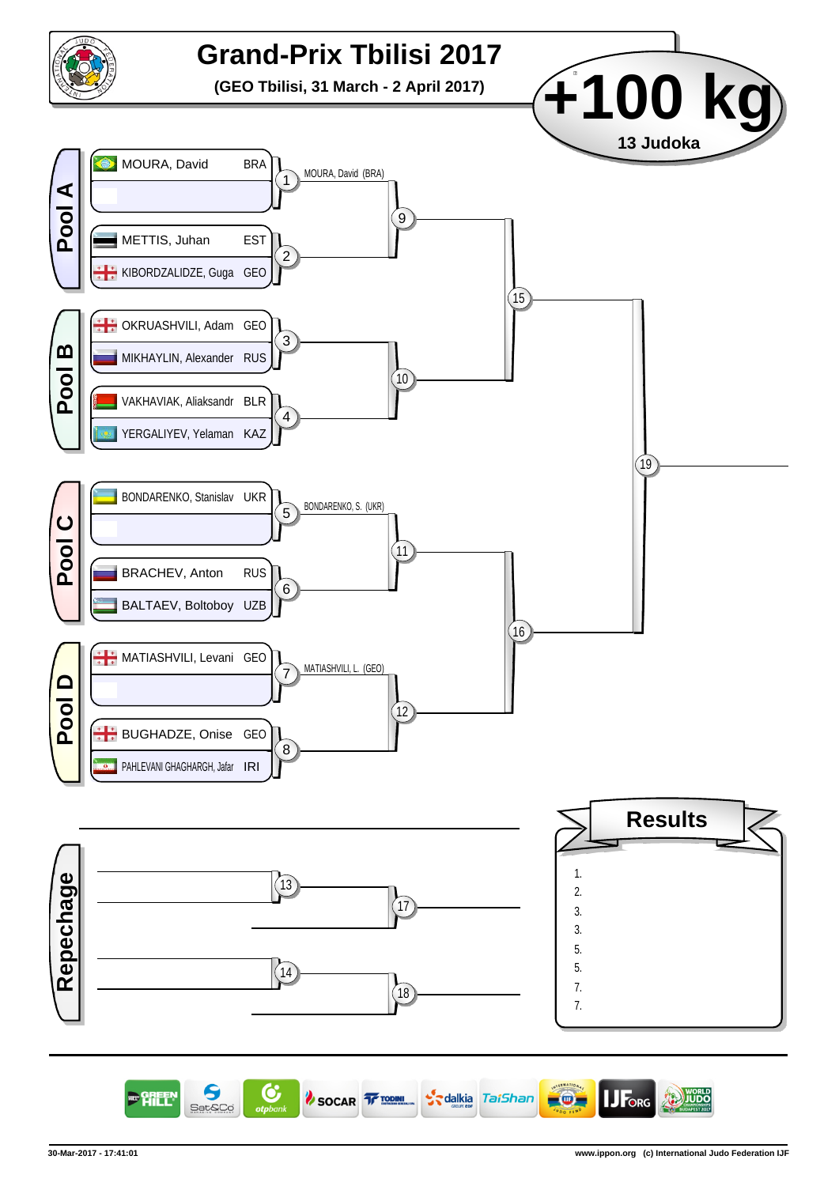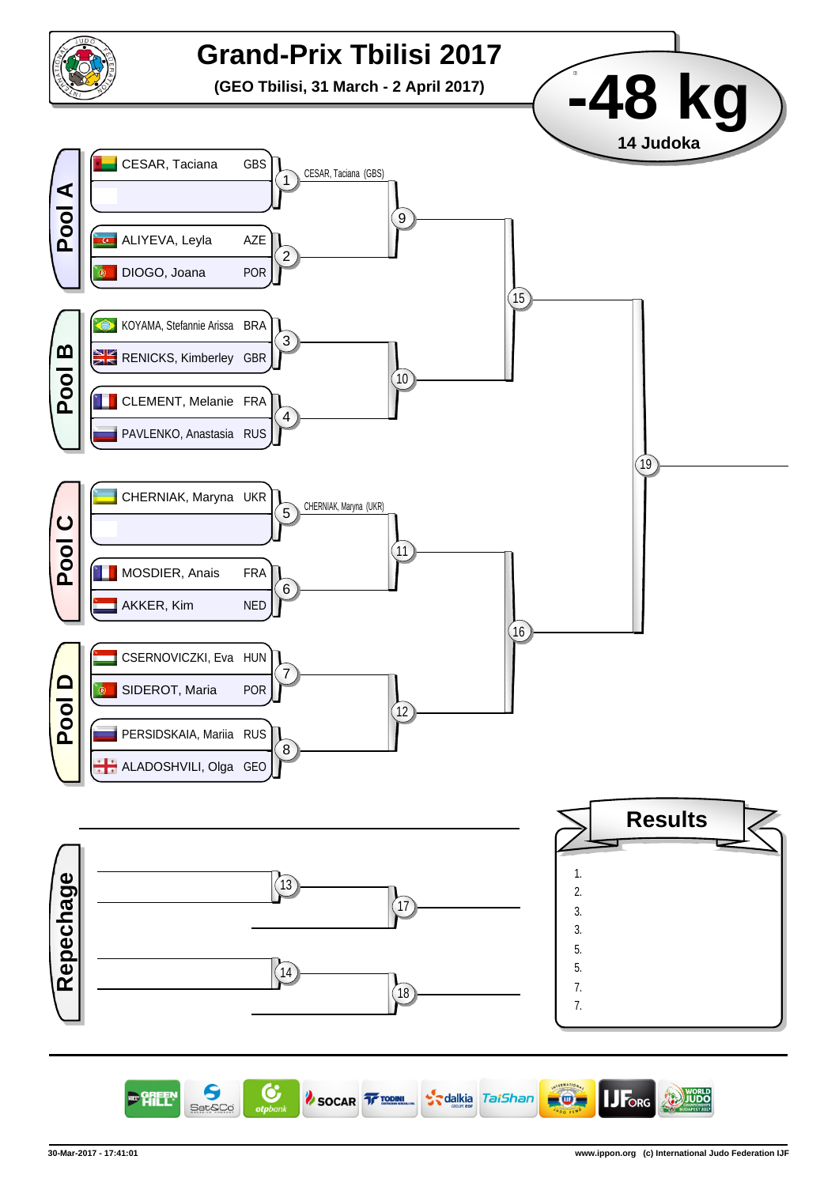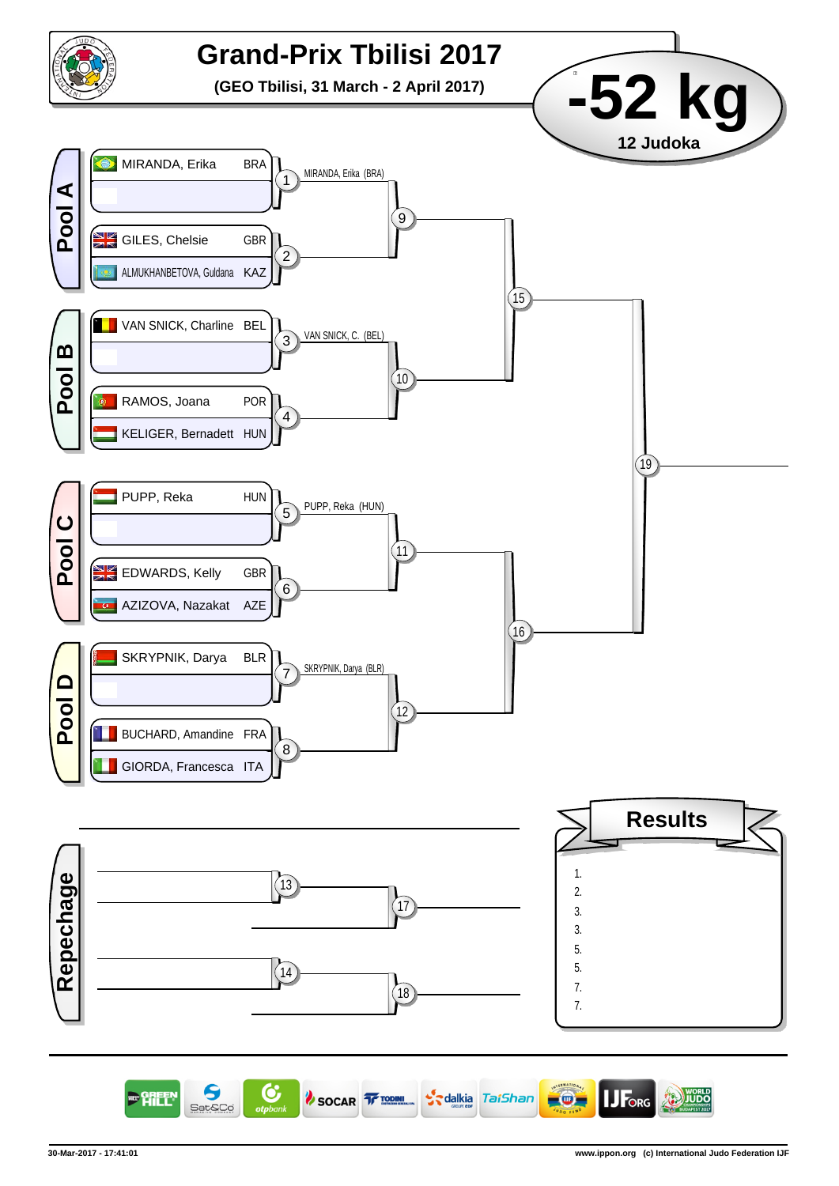

C 9 **JF**org SOCAR TE TODINI S<sub>s</sub>dalkia TaiShan  $\circ$ **JUDO** 明年 Sat&Co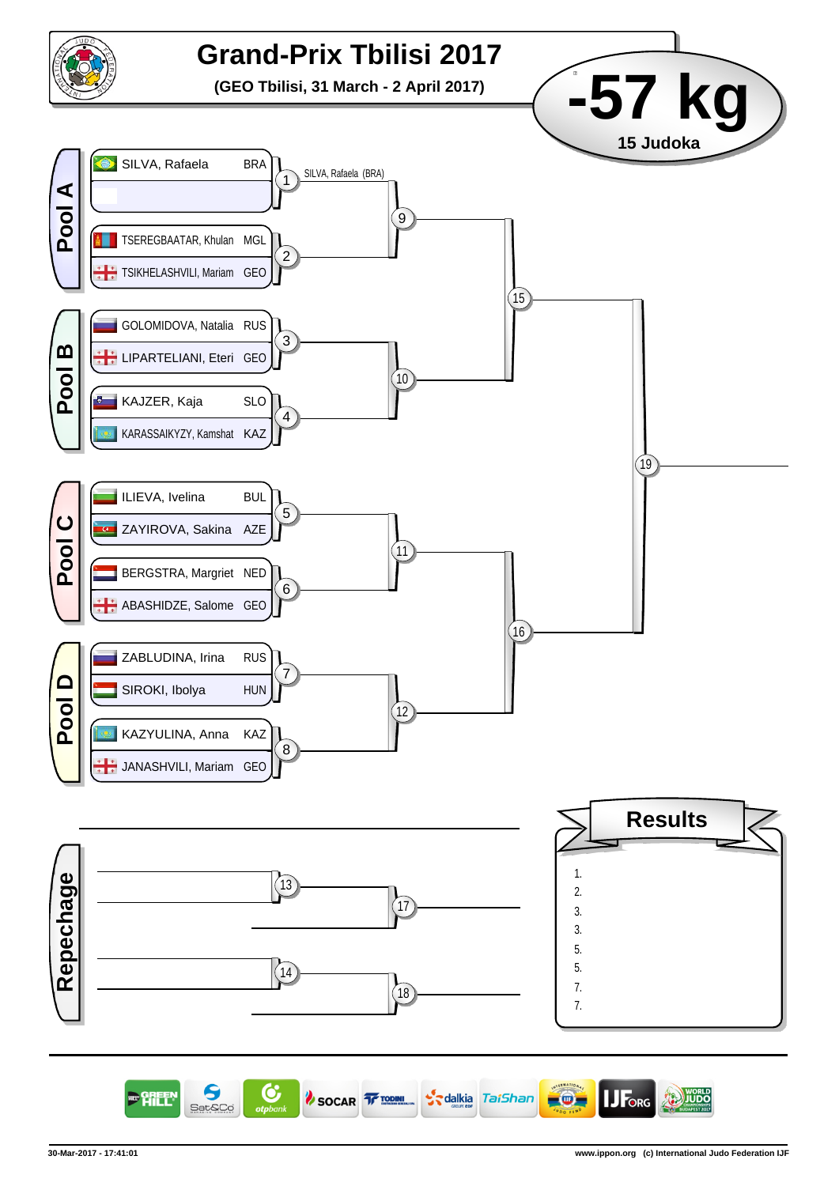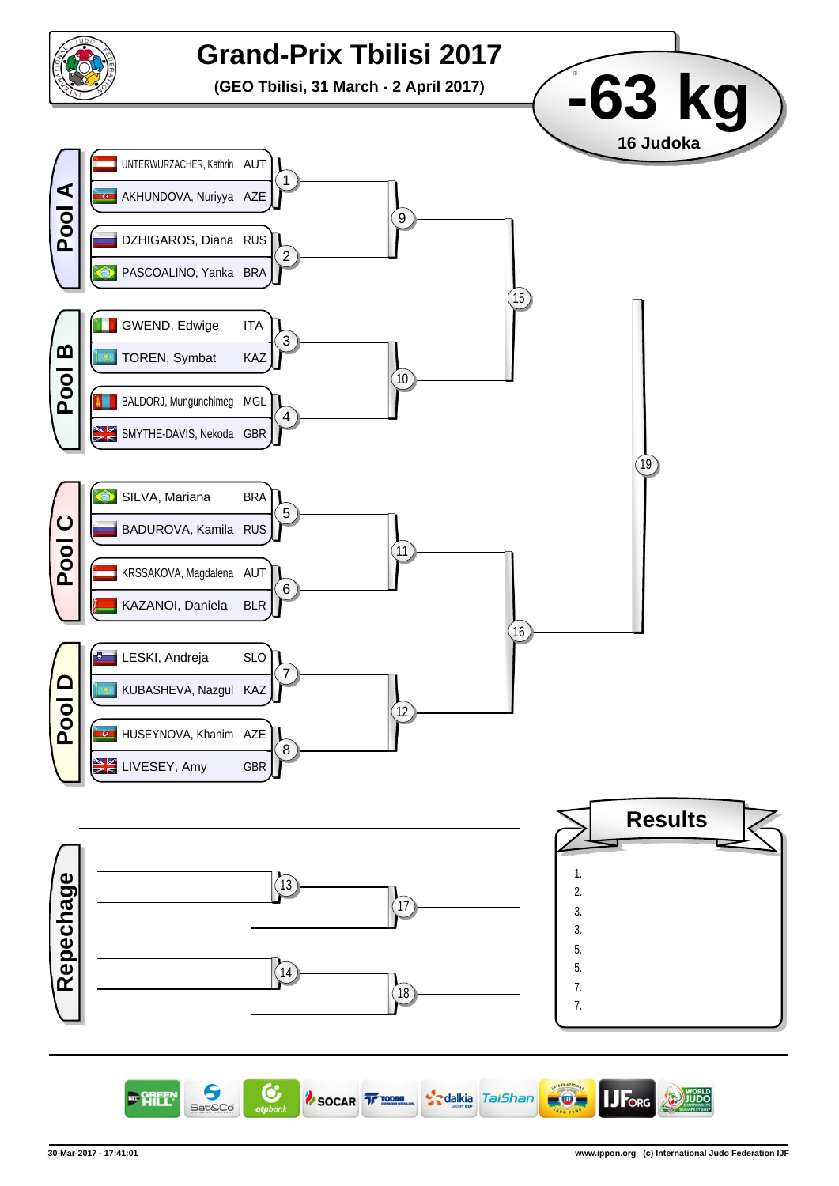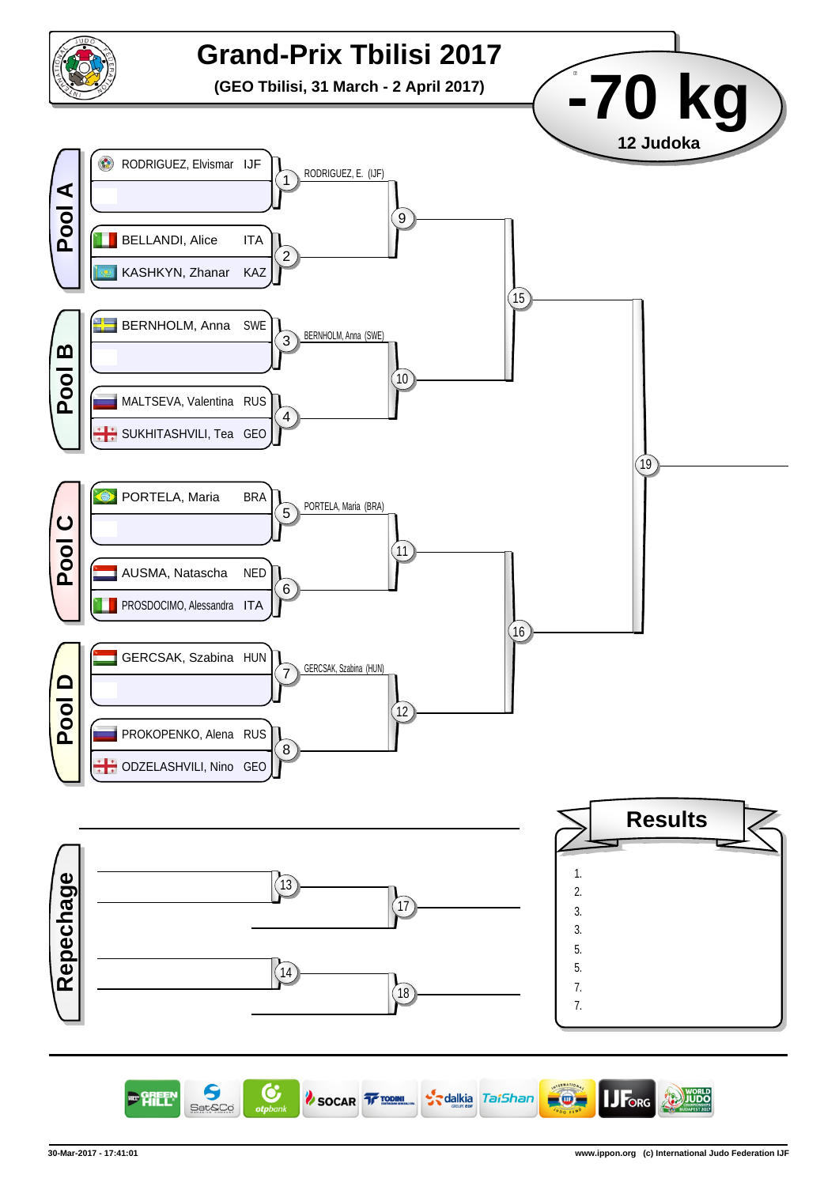

9 C Forg SOCAR TE TODINI S<sub>s</sub>dalkia TaiShan  $\circ$ **JUDO** Sat&Co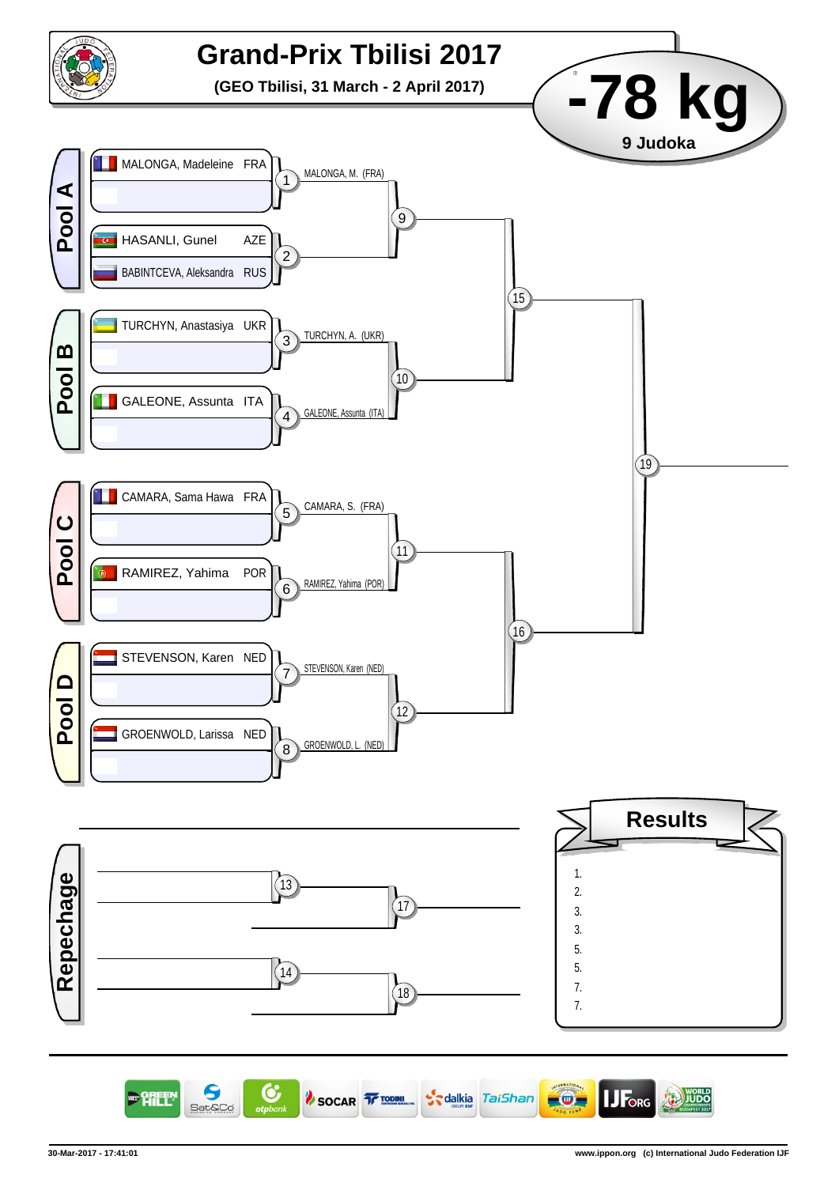